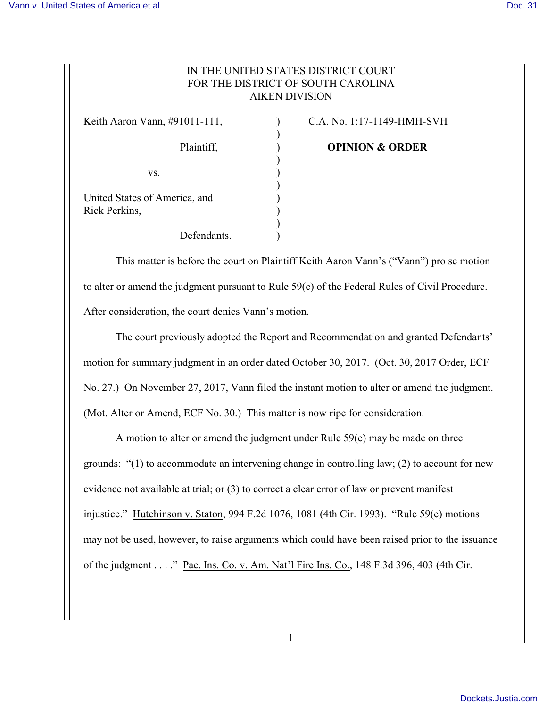## IN THE UNITED STATES DISTRICT COURT FOR THE DISTRICT OF SOUTH CAROLINA AIKEN DIVISION

)

)

)

 $)$ 

Keith Aaron Vann, #91011-111, C.A. No. 1:17-1149-HMH-SVH  $\mathbf{v}\mathbf{s}$ .  $\qquad \qquad$  ) United States of America, and ) Rick Perkins, ) Defendants.

Plaintiff, **Department (Plaintiff, Plaintiff, Plaintiff, Plaintiff, Plaintiff, Plaintiff, Plaintiff, Plaintiff, Plaintiff, Plaintiff, Plaintiff, Plaintiff, Plaintiff, Plaintiff, Plaintiff, Plaintiff, Plaintiff, Plaintiff,** 

This matter is before the court on Plaintiff Keith Aaron Vann's ("Vann") pro se motion to alter or amend the judgment pursuant to Rule 59(e) of the Federal Rules of Civil Procedure. After consideration, the court denies Vann's motion.

The court previously adopted the Report and Recommendation and granted Defendants' motion for summary judgment in an order dated October 30, 2017. (Oct. 30, 2017 Order, ECF No. 27.) On November 27, 2017, Vann filed the instant motion to alter or amend the judgment. (Mot. Alter or Amend, ECF No. 30.) This matter is now ripe for consideration.

A motion to alter or amend the judgment under Rule 59(e) may be made on three grounds: "(1) to accommodate an intervening change in controlling law; (2) to account for new evidence not available at trial; or (3) to correct a clear error of law or prevent manifest injustice." Hutchinson v. Staton, 994 F.2d 1076, 1081 (4th Cir. 1993). "Rule 59(e) motions may not be used, however, to raise arguments which could have been raised prior to the issuance of the judgment . . . ." Pac. Ins. Co. v. Am. Nat'l Fire Ins. Co., 148 F.3d 396, 403 (4th Cir.